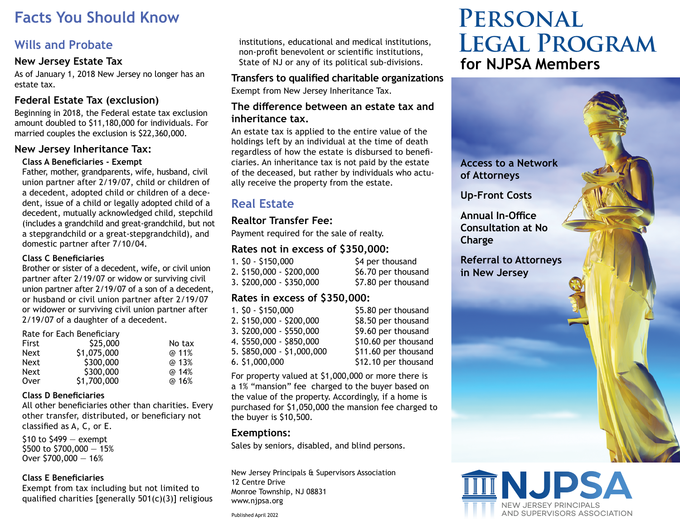# **Facts You Should Know**

# **Wills and Probate**

#### **New Jersey Estate Tax**

As of January 1, 2018 New Jersey no longer has an estate tax.

## **Federal Estate Tax (exclusion)**

Beginning in 2018, the Federal estate tax exclusion amount doubled to \$11,180,000 for individuals. For married couples the exclusion is \$22,360,000.

#### **New Jersey Inheritance Tax:**

#### **Class A Beneficiaries - Exempt**

Father, mother, grandparents, wife, husband, civil union partner after 2/19/07, child or children of a decedent, adopted child or children of a decedent, issue of a child or legally adopted child of a decedent, mutually acknowledged child, stepchild (includes a grandchild and great-grandchild, but not a stepgrandchild or a great-stepgrandchild), and domestic partner after 7/10/04.

#### **Class C Beneficiaries**

Brother or sister of a decedent, wife, or civil union partner after 2/19/07 or widow or surviving civil union partner after 2/19/07 of a son of a decedent, or husband or civil union partner after 2/19/07 or widower or surviving civil union partner after 2/19/07 of a daughter of a decedent.

| \$25,000    | No tax                                   |
|-------------|------------------------------------------|
| \$1,075,000 | @ 11%                                    |
| \$300,000   | @ 13%                                    |
| \$300,000   | @ 14%                                    |
|             | @ 16%                                    |
|             | Rate for Each Beneficiary<br>\$1,700,000 |

#### **Class D Beneficiaries**

All other beneficiaries other than charities. Every other transfer, distributed, or beneficiary not classified as A, C, or E.

 $$10$  to  $$499 -$  exempt \$500 to \$700,000 — 15% Over \$700,000 — 16%

#### **Class E Beneficiaries**

Exempt from tax including but not limited to qualified charities [generally 501(c)(3)] religious institutions, educational and medical institutions, non-profit benevolent or scientific institutions, State of NJ or any of its political sub-divisions.

# **Transfers to qualified charitable organizations**

Exempt from New Jersey Inheritance Tax.

#### **The difference between an estate tax and inheritance tax.**

An estate tax is applied to the entire value of the holdings left by an individual at the time of death regardless of how the estate is disbursed to beneficiaries. An inheritance tax is not paid by the estate of the deceased, but rather by individuals who actually receive the property from the estate.

# **Real Estate**

# **Realtor Transfer Fee:**

Payment required for the sale of realty.

# **Rates not in excess of \$350,000:**

1. \$0 - \$150,000 \$4 per thousand 2. \$150,000 - \$200,000 \$6.70 per thousand 3. \$200,000 - \$350,000 \$7.80 per thousand

## **Rates in excess of \$350,000:**

| 1. \$0 - \$150,000         | \$5.80 per thousand  |
|----------------------------|----------------------|
| 2. \$150,000 - \$200,000   | \$8.50 per thousand  |
| 3. \$200,000 - \$550,000   | \$9.60 per thousand  |
| 4. \$550,000 - \$850,000   | \$10.60 per thousan  |
| 5. \$850,000 - \$1,000,000 | \$11.60 per thousan  |
| 6.51,000,000               | \$12.10 per thousand |

9.60 per thousand 0.60 per thousand 1.60 per thousand \$12.10 per thousand

For property valued at \$1,000,000 or more there is a 1% "mansion" fee charged to the buyer based on the value of the property. Accordingly, if a home is purchased for \$1,050,000 the mansion fee charged to the buyer is \$10,500.

## **Exemptions:**

Sales by seniors, disabled, and blind persons.

New Jersey Principals & Supervisors Association 12 Centre Drive Monroe Township, NJ 08831 www.njpsa.org

# **Personal Legal Program for NJPSA Members**

**Access to a Network of Attorneys** 

**Up-Front Costs**

**Annual In-Office Consultation at No Charge**

**Referral to Attorneys in New Jersey**